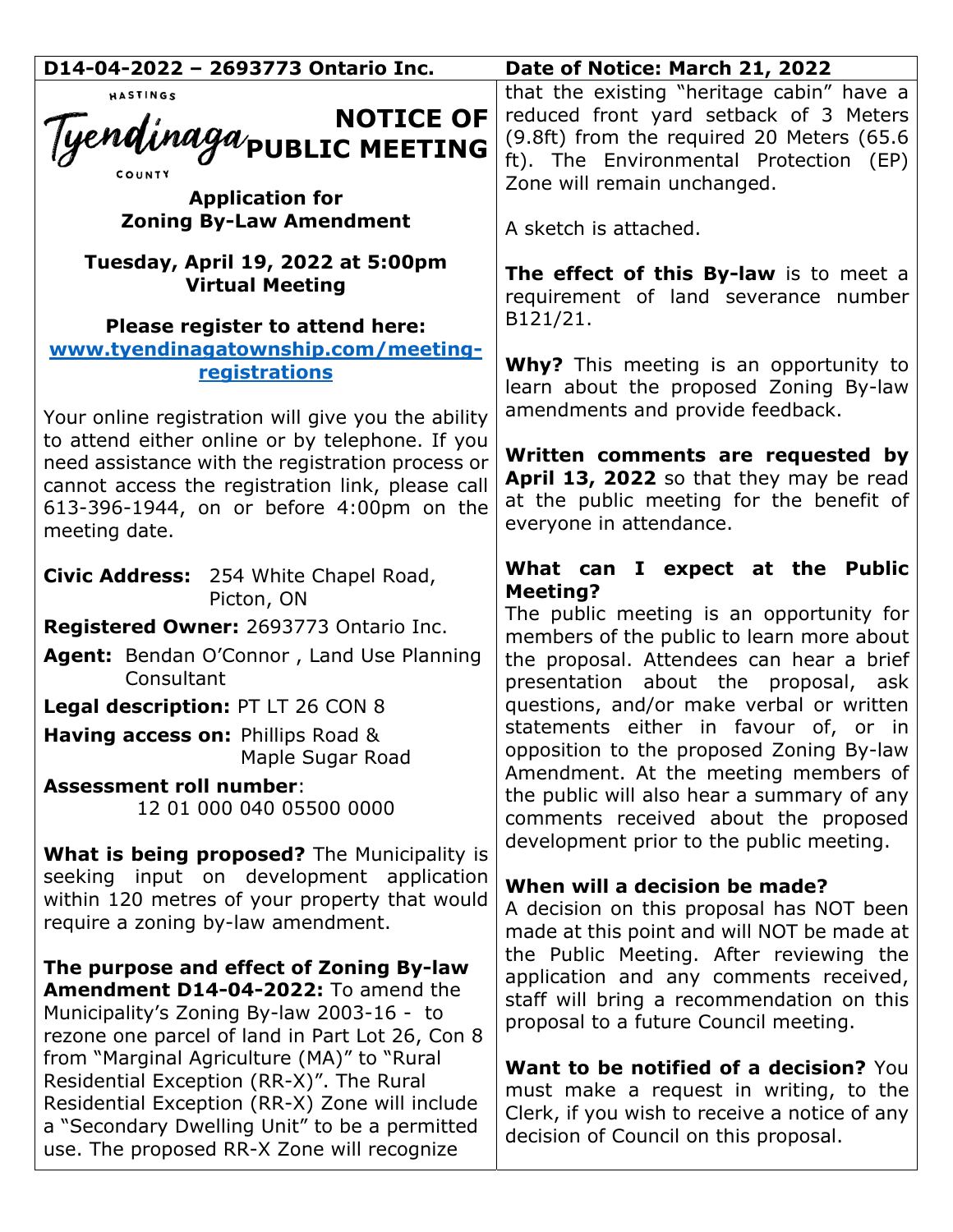| D14-04-2022 - 2693773 Ontario Inc.                                                                                                                                                                                   | Date of Notice: March 21, 2022                                                                                                                                                                            |
|----------------------------------------------------------------------------------------------------------------------------------------------------------------------------------------------------------------------|-----------------------------------------------------------------------------------------------------------------------------------------------------------------------------------------------------------|
| HASTINGS<br>NOTICE OF<br>Tyendinaga <sub>public</sub> Meeting<br><b>Application for</b>                                                                                                                              | that the existing "heritage cabin" have a<br>reduced front yard setback of 3 Meters<br>(9.8ft) from the required 20 Meters (65.6<br>ft). The Environmental Protection (EP)<br>Zone will remain unchanged. |
| <b>Zoning By-Law Amendment</b>                                                                                                                                                                                       | A sketch is attached.                                                                                                                                                                                     |
| Tuesday, April 19, 2022 at 5:00pm<br><b>Virtual Meeting</b><br>Please register to attend here:                                                                                                                       | The effect of this By-law is to meet a<br>requirement of land severance number<br>B121/21.                                                                                                                |
| www.tyendinagatownship.com/meeting-                                                                                                                                                                                  |                                                                                                                                                                                                           |
| <b>registrations</b>                                                                                                                                                                                                 | <b>Why?</b> This meeting is an opportunity to<br>learn about the proposed Zoning By-law                                                                                                                   |
| Your online registration will give you the ability                                                                                                                                                                   | amendments and provide feedback.                                                                                                                                                                          |
| to attend either online or by telephone. If you<br>need assistance with the registration process or<br>cannot access the registration link, please call<br>613-396-1944, on or before 4:00pm on the<br>meeting date. | Written comments are requested by<br>April 13, 2022 so that they may be read<br>at the public meeting for the benefit of<br>everyone in attendance.                                                       |
| Civic Address: 254 White Chapel Road,<br>Picton, ON                                                                                                                                                                  | What can I expect at the Public<br><b>Meeting?</b>                                                                                                                                                        |
|                                                                                                                                                                                                                      | The public meeting is an opportunity for                                                                                                                                                                  |
| Registered Owner: 2693773 Ontario Inc.                                                                                                                                                                               | members of the public to learn more about                                                                                                                                                                 |
| Agent: Bendan O'Connor, Land Use Planning<br>Consultant                                                                                                                                                              | the proposal. Attendees can hear a brief<br>presentation about the proposal, ask                                                                                                                          |
| Legal description: PT LT 26 CON 8                                                                                                                                                                                    | questions, and/or make verbal or written                                                                                                                                                                  |
| Having access on: Phillips Road &                                                                                                                                                                                    | statements either in favour of, or in                                                                                                                                                                     |
| Maple Sugar Road                                                                                                                                                                                                     | opposition to the proposed Zoning By-law                                                                                                                                                                  |
| <b>Assessment roll number:</b>                                                                                                                                                                                       | Amendment. At the meeting members of                                                                                                                                                                      |
| 12 01 000 040 05500 0000                                                                                                                                                                                             | the public will also hear a summary of any<br>comments received about the proposed                                                                                                                        |
|                                                                                                                                                                                                                      | development prior to the public meeting.                                                                                                                                                                  |
| <b>What is being proposed?</b> The Municipality is                                                                                                                                                                   |                                                                                                                                                                                                           |
| seeking input on development application                                                                                                                                                                             | When will a decision be made?                                                                                                                                                                             |
| within 120 metres of your property that would<br>require a zoning by-law amendment.                                                                                                                                  | A decision on this proposal has NOT been                                                                                                                                                                  |
|                                                                                                                                                                                                                      | made at this point and will NOT be made at                                                                                                                                                                |
| The purpose and effect of Zoning By-law                                                                                                                                                                              | the Public Meeting. After reviewing the                                                                                                                                                                   |
| Amendment D14-04-2022: To amend the                                                                                                                                                                                  | application and any comments received,<br>staff will bring a recommendation on this                                                                                                                       |
| Municipality's Zoning By-law 2003-16 - to                                                                                                                                                                            | proposal to a future Council meeting.                                                                                                                                                                     |
| rezone one parcel of land in Part Lot 26, Con 8                                                                                                                                                                      |                                                                                                                                                                                                           |
| from "Marginal Agriculture (MA)" to "Rural                                                                                                                                                                           | Want to be notified of a decision? You                                                                                                                                                                    |
| Residential Exception (RR-X)". The Rural<br>Residential Exception (RR-X) Zone will include                                                                                                                           | must make a request in writing, to the                                                                                                                                                                    |
| a "Secondary Dwelling Unit" to be a permitted                                                                                                                                                                        | Clerk, if you wish to receive a notice of any                                                                                                                                                             |
| use. The proposed RR-X Zone will recognize                                                                                                                                                                           | decision of Council on this proposal.                                                                                                                                                                     |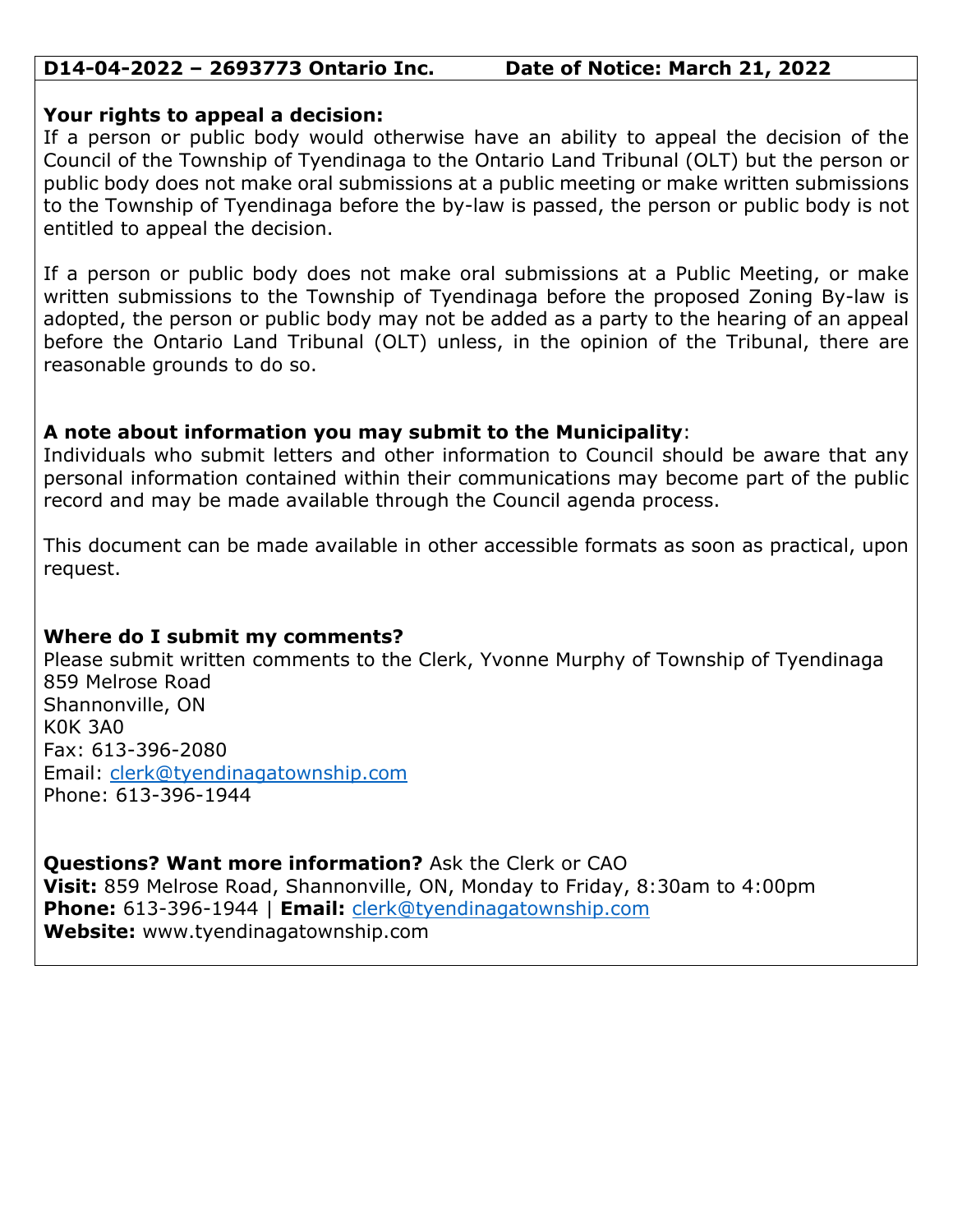# **D14-04-2022 – 2693773 Ontario Inc. Date of Notice: March 21, 2022**

### **Your rights to appeal a decision:**

If a person or public body would otherwise have an ability to appeal the decision of the Council of the Township of Tyendinaga to the Ontario Land Tribunal (OLT) but the person or public body does not make oral submissions at a public meeting or make written submissions to the Township of Tyendinaga before the by-law is passed, the person or public body is not entitled to appeal the decision.

If a person or public body does not make oral submissions at a Public Meeting, or make written submissions to the Township of Tyendinaga before the proposed Zoning By-law is adopted, the person or public body may not be added as a party to the hearing of an appeal before the Ontario Land Tribunal (OLT) unless, in the opinion of the Tribunal, there are reasonable grounds to do so.

# **A note about information you may submit to the Municipality**:

Individuals who submit letters and other information to Council should be aware that any personal information contained within their communications may become part of the public record and may be made available through the Council agenda process.

This document can be made available in other accessible formats as soon as practical, upon request.

# **Where do I submit my comments?**

Please submit written comments to the Clerk, Yvonne Murphy of Township of Tyendinaga 859 Melrose Road Shannonville, ON K0K 3A0 Fax: 613-396-2080 Email: clerk@tyendinagatownship.com Phone: 613-396-1944

**Questions? Want more information?** Ask the Clerk or CAO **Visit:** 859 Melrose Road, Shannonville, ON, Monday to Friday, 8:30am to 4:00pm **Phone:** 613-396-1944 | **Email:** clerk@tyendinagatownship.com **Website:** www.tyendinagatownship.com